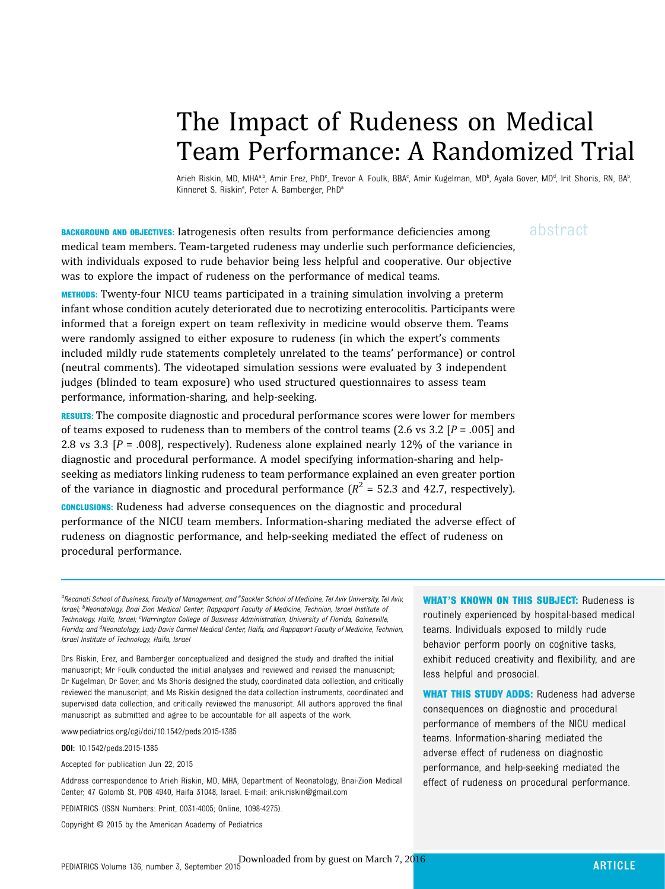# The Impact of Rudeness on Medical Team Performance: A Randomized Trial

Arieh Riskin, MD, MHAªʰ, Amir Erez, PhDº, Trevor A. Foulk, BBAº, Amir Kugelman, MDʰ, Ayala Gover, MDª, Irit Shoris, RN, BAʰ , Kinneret S. Riskin<sup>e</sup>, Peter A. Bamberger, PhD<sup>a</sup>

**BACKGROUND AND OBJECTIVES:** Iatrogenesis often results from performance deficiencies among abstract medical team members. Team-targeted rudeness may underlie such performance deficiencies, with individuals exposed to rude behavior being less helpful and cooperative. Our objective was to explore the impact of rudeness on the performance of medical teams.

METHODS: Twenty-four NICU teams participated in a training simulation involving a preterm infant whose condition acutely deteriorated due to necrotizing enterocolitis. Participants were informed that a foreign expert on team reflexivity in medicine would observe them. Teams were randomly assigned to either exposure to rudeness (in which the expert's comments included mildly rude statements completely unrelated to the teams' performance) or control (neutral comments). The videotaped simulation sessions were evaluated by 3 independent judges (blinded to team exposure) who used structured questionnaires to assess team performance, information-sharing, and help-seeking.

**RESULTS:** The composite diagnostic and procedural performance scores were lower for members of teams exposed to rudeness than to members of the control teams (2.6 vs 3.2  $[P = .005]$  and 2.8 vs 3.3  $[P = .008]$ , respectively). Rudeness alone explained nearly 12% of the variance in diagnostic and procedural performance. A model specifying information-sharing and helpseeking as mediators linking rudeness to team performance explained an even greater portion of the variance in diagnostic and procedural performance  $(R^2 = 52.3$  and 42.7, respectively).

CONCLUSIONS: Rudeness had adverse consequences on the diagnostic and procedural performance of the NICU team members. Information-sharing mediated the adverse effect of rudeness on diagnostic performance, and help-seeking mediated the effect of rudeness on procedural performance.

aRecanati School of Business, Faculty of Management, and <sup>e</sup>Sackler School of Medicine, Tel Aviv University, Tel Aviv, Israel; <sup>b</sup>Neonatology, Bnai Zion Medical Center, Rappaport Faculty of Medicine, Technion, Israel Institute of Technology, Haifa, Israel; <sup>c</sup>Warrington College of Business Administration, University of Florida, Gainesville, Florida; and <sup>d</sup>Neonatology, Lady Davis Carmel Medical Center, Haifa, and Rappaport Faculty of Medicine, Technion, Israel Institute of Technology, Haifa, Israel

Drs Riskin, Erez, and Bamberger conceptualized and designed the study and drafted the initial manuscript; Mr Foulk conducted the initial analyses and reviewed and revised the manuscript; Dr Kugelman, Dr Gover, and Ms Shoris designed the study, coordinated data collection, and critically reviewed the manuscript; and Ms Riskin designed the data collection instruments, coordinated and supervised data collection, and critically reviewed the manuscript. All authors approved the final manuscript as submitted and agree to be accountable for all aspects of the work.

www.pediatrics.org/cgi/doi/10.1542/peds.2015-1385

DOI: 10.1542/peds.2015-1385

Accepted for publication Jun 22, 2015

Address correspondence to Arieh Riskin, MD, MHA, Department of Neonatology, Bnai-Zion Medical Center, 47 Golomb St, POB 4940, Haifa 31048, Israel. E-mail: [arik.riskin@gmail.com](mailto:arik.riskin@gmail.com)

PEDIATRICS (ISSN Numbers: Print, 0031-4005; Online, 1098-4275).

Copyright © 2015 by the American Academy of Pediatrics

WHAT'S KNOWN ON THIS SUBJECT: Rudeness is routinely experienced by hospital-based medical teams. Individuals exposed to mildly rude behavior perform poorly on cognitive tasks, exhibit reduced creativity and flexibility, and are less helpful and prosocial.

WHAT THIS STUDY ADDS: Rudeness had adverse consequences on diagnostic and procedural performance of members of the NICU medical teams. Information-sharing mediated the adverse effect of rudeness on diagnostic performance, and help-seeking mediated the effect of rudeness on procedural performance.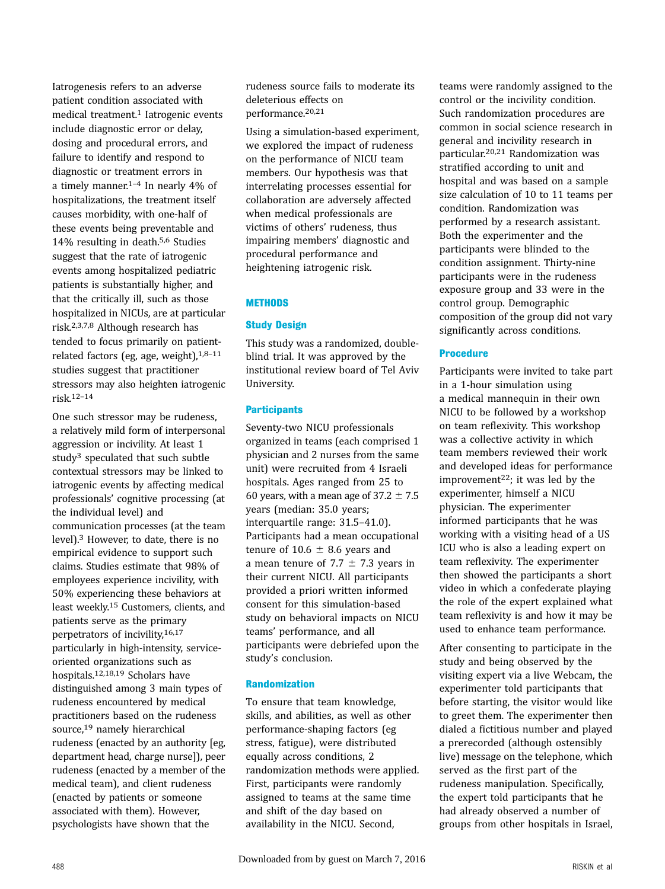Iatrogenesis refers to an adverse patient condition associated with medical treatment.<sup>1</sup> Iatrogenic events include diagnostic error or delay, dosing and procedural errors, and failure to identify and respond to diagnostic or treatment errors in a timely manner.1–<sup>4</sup> In nearly 4% of hospitalizations, the treatment itself causes morbidity, with one-half of these events being preventable and 14% resulting in death.5,6 Studies suggest that the rate of iatrogenic events among hospitalized pediatric patients is substantially higher, and that the critically ill, such as those hospitalized in NICUs, are at particular risk.2,3,7,8 Although research has tended to focus primarily on patientrelated factors (eg, age, weight), $1,8-11$ studies suggest that practitioner stressors may also heighten iatrogenic risk.12–<sup>14</sup>

One such stressor may be rudeness, a relatively mild form of interpersonal aggression or incivility. At least 1 study<sup>3</sup> speculated that such subtle contextual stressors may be linked to iatrogenic events by affecting medical professionals' cognitive processing (at the individual level) and communication processes (at the team level).3 However, to date, there is no empirical evidence to support such claims. Studies estimate that 98% of employees experience incivility, with 50% experiencing these behaviors at least weekly.15 Customers, clients, and patients serve as the primary perpetrators of incivility,16,17 particularly in high-intensity, serviceoriented organizations such as hospitals.12,18,19 Scholars have distinguished among 3 main types of rudeness encountered by medical practitioners based on the rudeness source,19 namely hierarchical rudeness (enacted by an authority [eg, department head, charge nurse]), peer rudeness (enacted by a member of the medical team), and client rudeness (enacted by patients or someone associated with them). However, psychologists have shown that the

rudeness source fails to moderate its deleterious effects on performance.20,21

Using a simulation-based experiment, we explored the impact of rudeness on the performance of NICU team members. Our hypothesis was that interrelating processes essential for collaboration are adversely affected when medical professionals are victims of others' rudeness, thus impairing members' diagnostic and procedural performance and heightening iatrogenic risk.

# **METHODS**

# Study Design

This study was a randomized, doubleblind trial. It was approved by the institutional review board of Tel Aviv University.

# **Participants**

Seventy-two NICU professionals organized in teams (each comprised 1 physician and 2 nurses from the same unit) were recruited from 4 Israeli hospitals. Ages ranged from 25 to 60 years, with a mean age of  $37.2 \pm 7.5$ years (median: 35.0 years; interquartile range: 31.5–41.0). Participants had a mean occupational tenure of  $10.6 \pm 8.6$  years and a mean tenure of 7.7  $\pm$  7.3 years in their current NICU. All participants provided a priori written informed consent for this simulation-based study on behavioral impacts on NICU teams' performance, and all participants were debriefed upon the study's conclusion.

# Randomization

To ensure that team knowledge, skills, and abilities, as well as other performance-shaping factors (eg stress, fatigue), were distributed equally across conditions, 2 randomization methods were applied. First, participants were randomly assigned to teams at the same time and shift of the day based on availability in the NICU. Second,

teams were randomly assigned to the control or the incivility condition. Such randomization procedures are common in social science research in general and incivility research in particular.20,21 Randomization was stratified according to unit and hospital and was based on a sample size calculation of 10 to 11 teams per condition. Randomization was performed by a research assistant. Both the experimenter and the participants were blinded to the condition assignment. Thirty-nine participants were in the rudeness exposure group and 33 were in the control group. Demographic composition of the group did not vary significantly across conditions.

# Procedure

Participants were invited to take part in a 1-hour simulation using a medical mannequin in their own NICU to be followed by a workshop on team reflexivity. This workshop was a collective activity in which team members reviewed their work and developed ideas for performance improvement<sup>22</sup>; it was led by the experimenter, himself a NICU physician. The experimenter informed participants that he was working with a visiting head of a US ICU who is also a leading expert on team reflexivity. The experimenter then showed the participants a short video in which a confederate playing the role of the expert explained what team reflexivity is and how it may be used to enhance team performance.

After consenting to participate in the study and being observed by the visiting expert via a live Webcam, the experimenter told participants that before starting, the visitor would like to greet them. The experimenter then dialed a fictitious number and played a prerecorded (although ostensibly live) message on the telephone, which served as the first part of the rudeness manipulation. Specifically, the expert told participants that he had already observed a number of groups from other hospitals in Israel,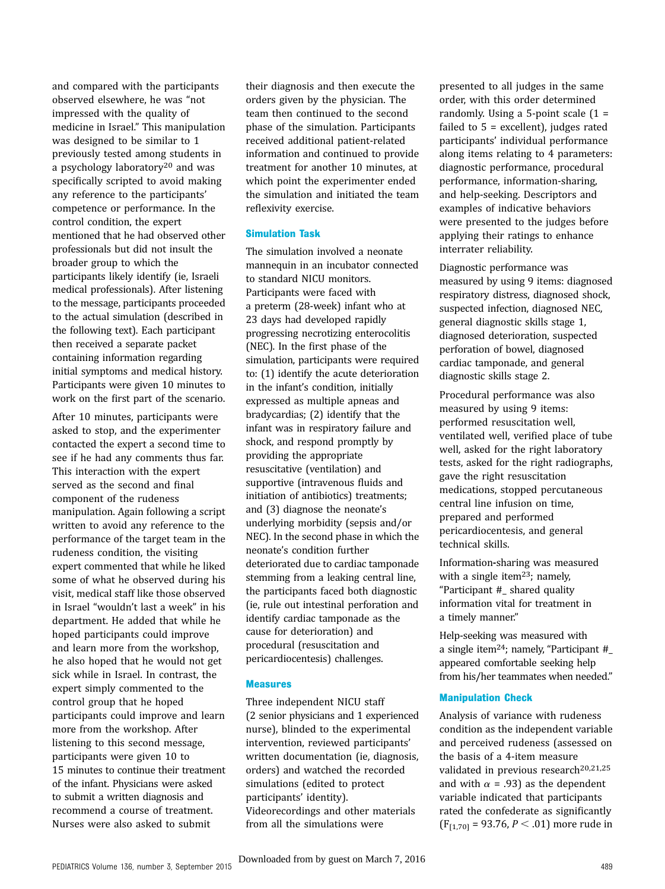and compared with the participants observed elsewhere, he was "not impressed with the quality of medicine in Israel." This manipulation was designed to be similar to 1 previously tested among students in a psychology laboratory20 and was specifically scripted to avoid making any reference to the participants' competence or performance. In the control condition, the expert mentioned that he had observed other professionals but did not insult the broader group to which the participants likely identify (ie, Israeli medical professionals). After listening to the message, participants proceeded to the actual simulation (described in the following text). Each participant then received a separate packet containing information regarding initial symptoms and medical history. Participants were given 10 minutes to work on the first part of the scenario.

After 10 minutes, participants were asked to stop, and the experimenter contacted the expert a second time to see if he had any comments thus far. This interaction with the expert served as the second and final component of the rudeness manipulation. Again following a script written to avoid any reference to the performance of the target team in the rudeness condition, the visiting expert commented that while he liked some of what he observed during his visit, medical staff like those observed in Israel "wouldn't last a week" in his department. He added that while he hoped participants could improve and learn more from the workshop, he also hoped that he would not get sick while in Israel. In contrast, the expert simply commented to the control group that he hoped participants could improve and learn more from the workshop. After listening to this second message, participants were given 10 to 15 minutes to continue their treatment of the infant. Physicians were asked to submit a written diagnosis and recommend a course of treatment. Nurses were also asked to submit

their diagnosis and then execute the orders given by the physician. The team then continued to the second phase of the simulation. Participants received additional patient-related information and continued to provide treatment for another 10 minutes, at which point the experimenter ended the simulation and initiated the team reflexivity exercise.

#### Simulation Task

The simulation involved a neonate mannequin in an incubator connected to standard NICU monitors. Participants were faced with a preterm (28-week) infant who at 23 days had developed rapidly progressing necrotizing enterocolitis (NEC). In the first phase of the simulation, participants were required to: (1) identify the acute deterioration in the infant's condition, initially expressed as multiple apneas and bradycardias; (2) identify that the infant was in respiratory failure and shock, and respond promptly by providing the appropriate resuscitative (ventilation) and supportive (intravenous fluids and initiation of antibiotics) treatments; and (3) diagnose the neonate's underlying morbidity (sepsis and/or NEC). In the second phase in which the neonate's condition further deteriorated due to cardiac tamponade stemming from a leaking central line, the participants faced both diagnostic (ie, rule out intestinal perforation and identify cardiac tamponade as the cause for deterioration) and procedural (resuscitation and pericardiocentesis) challenges.

#### Measures

Three independent NICU staff (2 senior physicians and 1 experienced nurse), blinded to the experimental intervention, reviewed participants' written documentation (ie, diagnosis, orders) and watched the recorded simulations (edited to protect participants' identity). Videorecordings and other materials from all the simulations were

presented to all judges in the same order, with this order determined randomly. Using a 5-point scale  $(1 =$ failed to  $5 =$  excellent), judges rated participants' individual performance along items relating to 4 parameters: diagnostic performance, procedural performance, information-sharing, and help-seeking. Descriptors and examples of indicative behaviors were presented to the judges before applying their ratings to enhance interrater reliability.

Diagnostic performance was measured by using 9 items: diagnosed respiratory distress, diagnosed shock, suspected infection, diagnosed NEC, general diagnostic skills stage 1, diagnosed deterioration, suspected perforation of bowel, diagnosed cardiac tamponade, and general diagnostic skills stage 2.

Procedural performance was also measured by using 9 items: performed resuscitation well, ventilated well, verified place of tube well, asked for the right laboratory tests, asked for the right radiographs, gave the right resuscitation medications, stopped percutaneous central line infusion on time, prepared and performed pericardiocentesis, and general technical skills.

Information-sharing was measured with a single item<sup>23</sup>; namely, "Participant #\_ shared quality information vital for treatment in a timely manner."

Help-seeking was measured with a single item24; namely, "Participant #\_ appeared comfortable seeking help from his/her teammates when needed."

#### Manipulation Check

Analysis of variance with rudeness condition as the independent variable and perceived rudeness (assessed on the basis of a 4-item measure validated in previous research<sup>20,21,25</sup> and with  $\alpha$  = .93) as the dependent variable indicated that participants rated the confederate as significantly  $(F_{[1,70]} = 93.76, P < .01)$  more rude in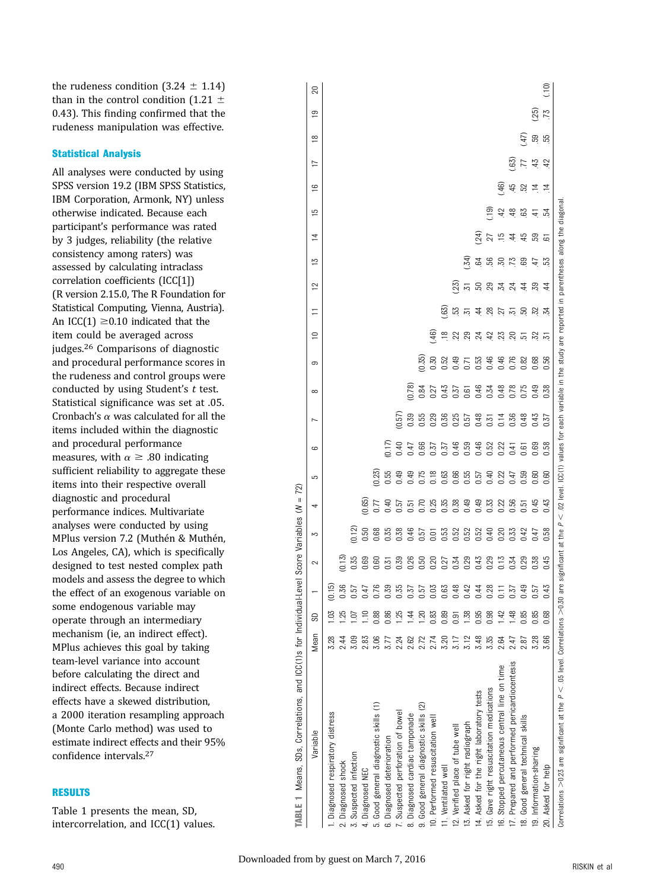the rudeness condition  $(3.24 \pm 1.14)$ than in the control condition (1.21  $\pm$ 0.43). This finding confirmed that the rudeness manipulation was effective.

# Statistical Analysis

All analyses were conducted by using SPSS version 19.2 (IBM SPSS Statistics, IBM Corporation, Armonk, NY) unless otherwise indicated. Because each participant's performance was rated by 3 judges, reliability (the relative consistency among raters) was assessed by calculating intraclass correlation coefficients (ICC[1]) (R version 2.15.0, The R Foundation for Statistical Computing, Vienna, Austria). An ICC(1)  $\geq$  0.10 indicated that the item could be averaged across judges.26 Comparisons of diagnostic and procedural performance scores in the rudeness and control groups were conducted by using Student's t test. Statistical significance was set at .05. Cronbach's  $\alpha$  was calculated for all the items included within the diagnostic and procedural performance measures, with  $\alpha \geq .80$  indicating sufficient reliability to aggregate these items into their respective overall diagnostic and procedural performance indices. Multivariate analyses were conducted by using MPlus version 7.2 (Muthén & Muthén, Los Angeles, CA), which is specifically designed to test nested complex path models and assess the degree to which the effect of an exogenous variable on some endogenous variable may operate through an intermediary mechanism (ie, an indirect effect). MPlus achieves this goal by taking team-level variance into account before calculating the direct and indirect effects. Because indirect effects have a skewed distribution, a 2000 iteration resampling approach (Monte Carlo method) was used to estimate indirect effects and their 95% confidence intervals.27

# RESULTS

Table 1 presents the mean, SD, intercorrelation, and ICC(1) values.

| TABLE 1 Means, SDs, Correlations, and ICC(1)s for Individual-Level                      |      |                 |                 |      | Score Variables $(N =$ | 72)    |        |             |                |                                                                                                                                 |                        |                 |    |             |                |     |                                 |                 |                  |                 |               |
|-----------------------------------------------------------------------------------------|------|-----------------|-----------------|------|------------------------|--------|--------|-------------|----------------|---------------------------------------------------------------------------------------------------------------------------------|------------------------|-----------------|----|-------------|----------------|-----|---------------------------------|-----------------|------------------|-----------------|---------------|
| Variable                                                                                | Mean | S <sub>D</sub>  |                 | 2    | S                      | 4      | 5      | မ           | $\overline{ }$ | $\infty$                                                                                                                        | $\sigma$               | $\overline{a}$  | Ξ  | $\tilde{c}$ | $\overline{5}$ | 4   | $\tilde{=}$<br>$\overline{1}$   | 17              | $\frac{8}{1}$    | ഇ               | ສ             |
| Diagnosed respiratory distress                                                          | 3.28 | $\overline{0}$  | (0.15)          |      |                        |        |        |             |                |                                                                                                                                 |                        |                 |    |             |                |     |                                 |                 |                  |                 |               |
| Diagnosed shock                                                                         | 2.44 |                 | 0.36            | 0.15 |                        |        |        |             |                |                                                                                                                                 |                        |                 |    |             |                |     |                                 |                 |                  |                 |               |
| Suspected infection                                                                     | 3.09 |                 | 0.57            | 0.35 | (0.12)                 |        |        |             |                |                                                                                                                                 |                        |                 |    |             |                |     |                                 |                 |                  |                 |               |
| 4. Diagnosed NEC                                                                        | 2.83 | Ξ               | 0.47            | 0.69 | 0.50                   | (0.65) |        |             |                |                                                                                                                                 |                        |                 |    |             |                |     |                                 |                 |                  |                 |               |
| 5. Good general diagnostic skills (1)                                                   | 3.06 | 0.88            | 0.76            | ວອ   | 0.68                   |        | (0.23) |             |                |                                                                                                                                 |                        |                 |    |             |                |     |                                 |                 |                  |                 |               |
| 6. Diagnosed deterioration                                                              |      | 0.86            | 0.39            | 0.31 | 0.35                   | 0.40   | 0.55   | (17)        |                |                                                                                                                                 |                        |                 |    |             |                |     |                                 |                 |                  |                 |               |
| Suspected perforation of bowel                                                          | 2.24 | 125             | 0.35            | 0.39 | 0.38                   | 0.57   | 0.49   | 0#0         | 0.57           |                                                                                                                                 |                        |                 |    |             |                |     |                                 |                 |                  |                 |               |
| 8. Diagnosed cardiac tamponade                                                          | 2.62 | $\overline{4}$  | 137             | 0.26 | 0.46                   | 0.51   | 0.49   | 147         | 0.39           | 0.78                                                                                                                            |                        |                 |    |             |                |     |                                 |                 |                  |                 |               |
| 9. Good general diagnostic skills (2)                                                   | 2.72 | $\overline{5}$  | 0.57            | 0.50 | 0.57                   |        | 0.75   | 0.66        | 0.55           | 0.84                                                                                                                            | 0.35                   |                 |    |             |                |     |                                 |                 |                  |                 |               |
| 0. Performed resuscitation well                                                         | 2.74 | 0.83            | 0.03            | 0.20 | ā                      | 0.25   | 0.18   | 1.57        | 29             | 27                                                                                                                              | 0.30                   | $\overline{46}$ |    |             |                |     |                                 |                 |                  |                 |               |
| 1. Ventilated well                                                                      | 3.20 | 0.89            | 0.63            | 0.27 | 0.53                   | 0.35   | 0.63   | 57          | 0.36           | 0.43                                                                                                                            | 0.52                   | $\approx$       | 63 |             |                |     |                                 |                 |                  |                 |               |
| 2. Verified place of tube well                                                          |      | 0.91            | 0.48            | 0.34 | 0.52                   | 0.38   | 0.66   | 0.46        | 0.25           | 0.37                                                                                                                            | 0.49                   | 22              | 53 | 23)         |                |     |                                 |                 |                  |                 |               |
| 3. Asked for right radiograph                                                           | 3.12 | 1.38            | 0.42            | 0.29 | 0.52                   | 0.49   | 0.55   | <b>D.59</b> | <b>157</b>     | 0.61                                                                                                                            | 2.71                   | 29              | 忘  | 57          | 34)            |     |                                 |                 |                  |                 |               |
| 4. Asked for the right laboratory tests                                                 | 3.48 | 0.95            | 0.44            | 0.43 | 0.52                   | 0.49   | 0.57   | 0.46        | 0.48           | 0.46                                                                                                                            | <b>CG</b> <sup>T</sup> | 24              | 4  | 5           | 54             | 24) |                                 |                 |                  |                 |               |
| 5. Gave right resuscitation medications                                                 | 3.35 | 0.98            | 0.28            | 0.29 | 0.40                   | 0.33   | 0.40   | 0.52        | $-1.51$        | 0.34                                                                                                                            | 0.46                   | 42              | 28 | 29          | ಜ್ರ            | 27  | (G<br>〔                         |                 |                  |                 |               |
| 6. Stopped percutaneous central line on time                                            | 2.64 | $\overline{42}$ | $\overline{11}$ | 0.13 | 0.20                   | 0.22   | 0.22   | 0.22        | 0.14           | 0.48                                                                                                                            | 0.46                   | 23              | 52 | 24          | $50\,$         |     | 42                              | .46)            |                  |                 |               |
| 7. Prepared and performed pericardiocentesis                                            | 2.47 | 1.48            | 0.37            | 0.34 | 0.33                   | 0.56   | 0.47   | lit<br>C    | 0.36           | 0.78                                                                                                                            | 0.76                   | $\overline{5}$  | 忘  | 24          | 73             | 4   | 45<br>48                        | $\overline{63}$ |                  |                 |               |
| 8. Good general technical skills                                                        | 2.87 | 0.85            | 0.49            | 0.29 | 0.42                   | 2.51   | 0.59   | 0.61        | 0.48           | 0.75                                                                                                                            | 0.82                   | 51              | 5  | 4           | 69             | 45  | 52<br>63                        | $\overline{7}$  | $\widetilde{47}$ |                 |               |
| 9. Information-sharing                                                                  | 3.28 | 0.85            | 0.57            | 0.38 | 147                    | 0.45   | 0.60   | 0.69        | 0.43           | 0.49                                                                                                                            | 0.68                   | 52              | 52 | ဥ           | $\ddot{=}$     | 59  | $\overline{4}$<br>$\frac{4}{1}$ | 45              | <b>S</b>         | $\overline{25}$ |               |
| 20. Asked for help                                                                      | 3.66 | 0.68            | 0.43            | 0.45 | 0.58                   | 0.43   | 0.60   | 0.58        | 0.37           | 0.38                                                                                                                            | 0.56                   | 51              | 24 | 4           | 얾              | 5   | $\overline{4}$<br>54            | 42              | 55               | 73              | $\frac{1}{2}$ |
| Correlations $>$ 0.23 are significant at the $P <$ .05 level. Correlations $>$ 0.30 are |      |                 |                 |      |                        |        |        |             |                | significant at the $P < .02$ level. ICC(1) values for each variable in the study are reported in parentheses along the diagonal |                        |                 |    |             |                |     |                                 |                 |                  |                 |               |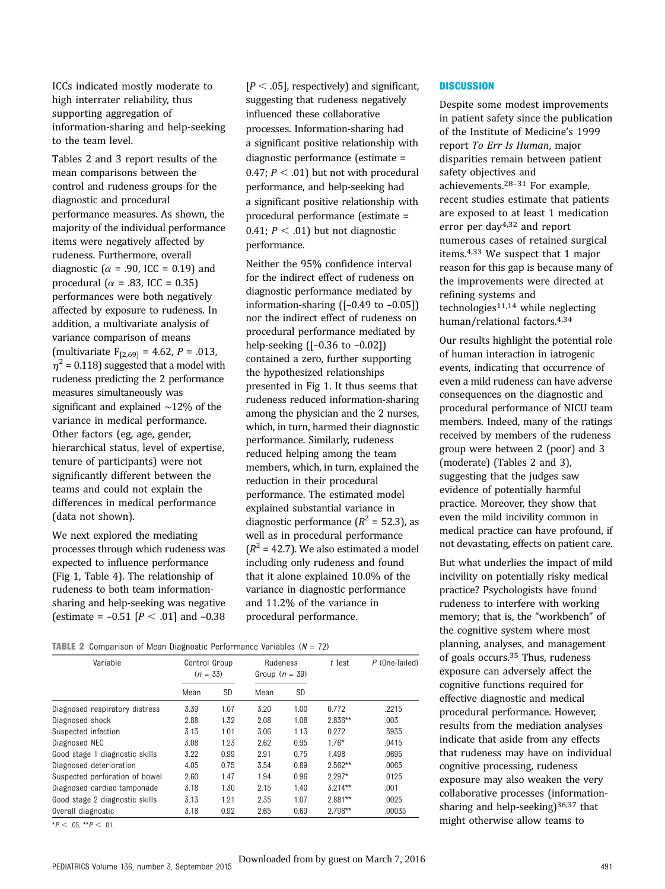ICCs indicated mostly moderate to high interrater reliability, thus supporting aggregation of information-sharing and help-seeking to the team level.

Tables 2 and 3 report results of the mean comparisons between the control and rudeness groups for the diagnostic and procedural performance measures. As shown, the majority of the individual performance items were negatively affected by rudeness. Furthermore, overall diagnostic ( $\alpha$  = .90, ICC = 0.19) and procedural ( $\alpha$  = .83, ICC = 0.35) performances were both negatively affected by exposure to rudeness. In addition, a multivariate analysis of variance comparison of means (multivariate  $F_{[2,69]} = 4.62$ ,  $P = .013$ ,  $\eta^2$  = 0.118) suggested that a model with rudeness predicting the 2 performance measures simultaneously was significant and explained ∼12% of the variance in medical performance. Other factors (eg, age, gender, hierarchical status, level of expertise, tenure of participants) were not significantly different between the teams and could not explain the differences in medical performance (data not shown).

We next explored the mediating processes through which rudeness was expected to influence performance (Fig 1, Table 4). The relationship of rudeness to both team informationsharing and help-seeking was negative (estimate =  $-0.51$  [ $P < .01$ ] and  $-0.38$ 

 $[P < .05]$ , respectively) and significant, suggesting that rudeness negatively influenced these collaborative processes. Information-sharing had a significant positive relationship with diagnostic performance (estimate = 0.47;  $P < .01$ ) but not with procedural performance, and help-seeking had a significant positive relationship with procedural performance (estimate = 0.41;  $P < .01$ ) but not diagnostic performance.

Neither the 95% confidence interval for the indirect effect of rudeness on diagnostic performance mediated by information-sharing ([–0.49 to –0.05]) nor the indirect effect of rudeness on procedural performance mediated by help-seeking ([–0.36 to –0.02]) contained a zero, further supporting the hypothesized relationships presented in Fig 1. It thus seems that rudeness reduced information-sharing among the physician and the 2 nurses, which, in turn, harmed their diagnostic performance. Similarly, rudeness reduced helping among the team members, which, in turn, explained the reduction in their procedural performance. The estimated model explained substantial variance in diagnostic performance  $(R^2 = 52.3)$ , as well as in procedural performance  $(R^{2} = 42.7)$ . We also estimated a model including only rudeness and found that it alone explained 10.0% of the variance in diagnostic performance and 11.2% of the variance in procedural performance.

#### **TABLE 2** Comparison of Mean Diagnostic Performance Variables  $(N = 72)$

| Variable                       | Control Group<br>$(n = 33)$ |      | Rudeness<br>Group $(n = 39)$ |      | t Test    | $P$ (One-Tailed) |  |
|--------------------------------|-----------------------------|------|------------------------------|------|-----------|------------------|--|
|                                | Mean                        | SD   | Mean                         | SD   |           |                  |  |
| Diagnosed respiratory distress | 3.39                        | 1.07 | 3.20                         | 1.00 | 0.772     | .2215            |  |
| Diagnosed shock                | 2.88                        | 1.32 | 2.08                         | 1.08 | 2.836**   | .003             |  |
| Suspected infection            | 3.13                        | 1.01 | 3.06                         | 1.13 | 0.272     | .3935            |  |
| Diagnosed NEC                  | 3.08                        | 1.23 | 2.62                         | 0.95 | $1.76*$   | .0415            |  |
| Good stage 1 diagnostic skills | 3.22                        | 0.99 | 2.91                         | 0.75 | 1.498     | .0695            |  |
| Diagnosed deterioration        | 4.05                        | 0.75 | 3.54                         | 0.89 | $2.562**$ | .0065            |  |
| Suspected perforation of bowel | 2.60                        | 1.47 | 1.94                         | 0.96 | $2.297*$  | .0125            |  |
| Diagnosed cardiac tamponade    | 3.18                        | 1.30 | 2.15                         | 1.40 | $3.214**$ | .001             |  |
| Good stage 2 diagnostic skills | 3.13                        | 1.21 | 2.35                         | 1.07 | $2.881**$ | .0025            |  |
| Overall diagnostic             | 3.18                        | 0.92 | 2.65                         | 0.69 | $2.796**$ | .00035           |  |

 $*P < .05$ ,  $*P < .01$ .

**DISCUSSION** 

Despite some modest improvements in patient safety since the publication of the Institute of Medicine's 1999 report To Err Is Human, major disparities remain between patient safety objectives and achievements.28–<sup>31</sup> For example, recent studies estimate that patients are exposed to at least 1 medication error per day4,32 and report numerous cases of retained surgical items.4,33 We suspect that 1 major reason for this gap is because many of the improvements were directed at refining systems and technologies11,14 while neglecting human/relational factors.4,34

Our results highlight the potential role of human interaction in iatrogenic events, indicating that occurrence of even a mild rudeness can have adverse consequences on the diagnostic and procedural performance of NICU team members. Indeed, many of the ratings received by members of the rudeness group were between 2 (poor) and 3 (moderate) (Tables 2 and 3), suggesting that the judges saw evidence of potentially harmful practice. Moreover, they show that even the mild incivility common in medical practice can have profound, if not devastating, effects on patient care.

But what underlies the impact of mild incivility on potentially risky medical practice? Psychologists have found rudeness to interfere with working memory; that is, the "workbench" of the cognitive system where most planning, analyses, and management of goals occurs.35 Thus, rudeness exposure can adversely affect the cognitive functions required for effective diagnostic and medical procedural performance. However, results from the mediation analyses indicate that aside from any effects that rudeness may have on individual cognitive processing, rudeness exposure may also weaken the very collaborative processes (informationsharing and help-seeking)<sup>36,37</sup> that might otherwise allow teams to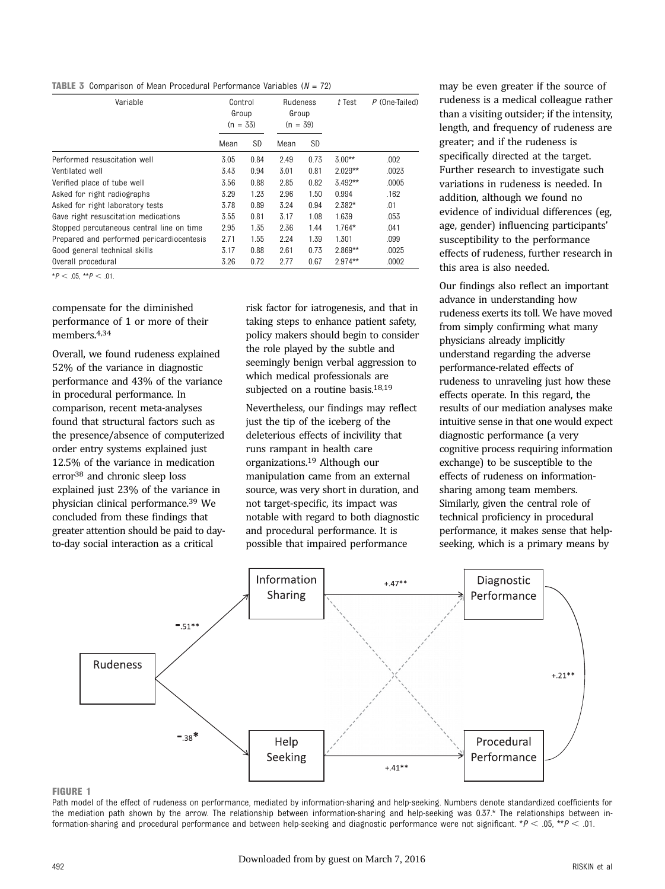**TABLE 3** Comparison of Mean Procedural Performance Variables  $(N = 72)$ 

| Variable                                  | Control<br>Group<br>$(n = 33)$ |           | <b>Rudeness</b><br>Group<br>$(n = 39)$ |      | $t$ Test   | $P$ (One-Tailed) |
|-------------------------------------------|--------------------------------|-----------|----------------------------------------|------|------------|------------------|
|                                           | Mean                           | <b>SD</b> | Mean                                   | SD   |            |                  |
| Performed resuscitation well              | 3.05                           | 0.84      | 2.49                                   | 0.73 | $3.00**$   | .002             |
| Ventilated well                           | 3.43                           | 0.94      | 3.01                                   | 0.81 | $2.029**$  | .0023            |
| Verified place of tube well               | 3.56                           | 0.88      | 2.85                                   | 0.82 | $3.492**$  | .0005            |
| Asked for right radiographs               | 3.29                           | 1.23      | 2.96                                   | 1.50 | 0.994      | .162             |
| Asked for right laboratory tests          | 3.78                           | 0.89      | 3.24                                   | 0.94 | $2.382*$   | .01              |
| Gave right resuscitation medications      | 3.55                           | 0.81      | 3.17                                   | 1.08 | 1.639      | .053             |
| Stopped percutaneous central line on time | 2.95                           | 1.35      | 2.36                                   | 1.44 | $1.764*$   | .041             |
| Prepared and performed pericardiocentesis | 2.71                           | 1.55      | 2.24                                   | 1.39 | 1.301      | .099             |
| Good general technical skills             | 3.17                           | 0.88      | 2.61                                   | 0.73 | $2.869***$ | .0025            |
| Overall procedural                        | 3.26                           | 0.72      | 2.77                                   | 0.67 | $2.974***$ | .0002            |

 $*P < .05$ ,  $*P < .01$ .

compensate for the diminished performance of 1 or more of their members.4,34

Overall, we found rudeness explained 52% of the variance in diagnostic performance and 43% of the variance in procedural performance. In comparison, recent meta-analyses found that structural factors such as the presence/absence of computerized order entry systems explained just 12.5% of the variance in medication error38 and chronic sleep loss explained just 23% of the variance in physician clinical performance.39 We concluded from these findings that greater attention should be paid to dayto-day social interaction as a critical

risk factor for iatrogenesis, and that in taking steps to enhance patient safety, policy makers should begin to consider the role played by the subtle and seemingly benign verbal aggression to which medical professionals are subjected on a routine basis.<sup>18,19</sup>

Nevertheless, our findings may reflect just the tip of the iceberg of the deleterious effects of incivility that runs rampant in health care organizations.19 Although our manipulation came from an external source, was very short in duration, and not target-specific, its impact was notable with regard to both diagnostic and procedural performance. It is possible that impaired performance

may be even greater if the source of rudeness is a medical colleague rather than a visiting outsider; if the intensity, length, and frequency of rudeness are greater; and if the rudeness is specifically directed at the target. Further research to investigate such variations in rudeness is needed. In addition, although we found no evidence of individual differences (eg, age, gender) influencing participants' susceptibility to the performance effects of rudeness, further research in this area is also needed.

Our findings also reflect an important advance in understanding how rudeness exerts its toll. We have moved from simply confirming what many physicians already implicitly understand regarding the adverse performance-related effects of rudeness to unraveling just how these effects operate. In this regard, the results of our mediation analyses make intuitive sense in that one would expect diagnostic performance (a very cognitive process requiring information exchange) to be susceptible to the effects of rudeness on informationsharing among team members. Similarly, given the central role of technical proficiency in procedural performance, it makes sense that helpseeking, which is a primary means by



#### FIGURE 1

Path model of the effect of rudeness on performance, mediated by information-sharing and help-seeking. Numbers denote standardized coefficients for the mediation path shown by the arrow. The relationship between information-sharing and help-seeking was 0.37.\* The relationships between information-sharing and procedural performance and between help-seeking and diagnostic performance were not significant. \* $P < .05$ , \*\* $P < .01$ .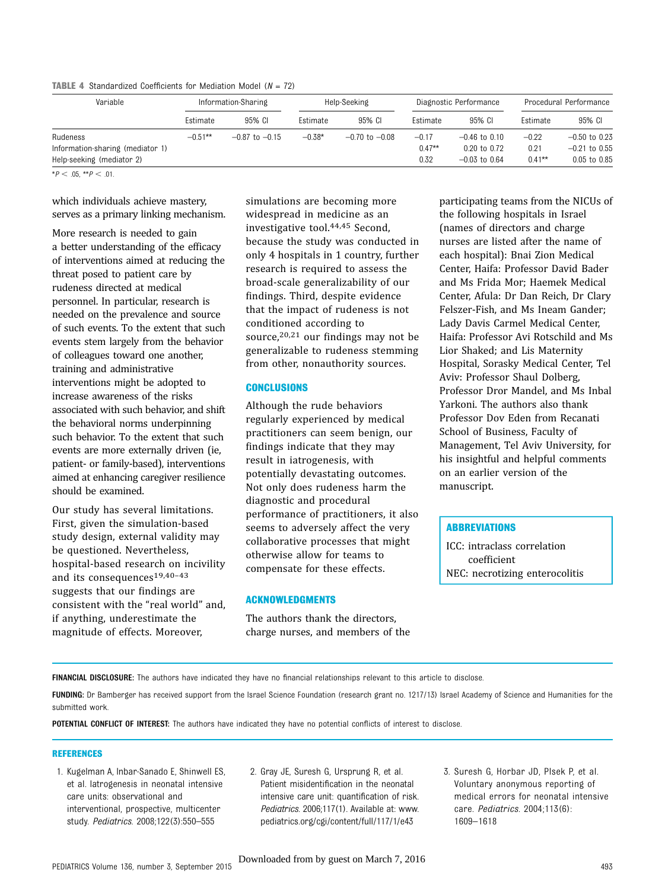**TABLE 4** Standardized Coefficients for Mediation Model ( $N = 72$ )

| Variable                         |            | Information-Sharing |          | Help-Seeking       |          | Diagnostic Performance |           | Procedural Performance |
|----------------------------------|------------|---------------------|----------|--------------------|----------|------------------------|-----------|------------------------|
|                                  | Estimate   | 95% CI              | Estimate | 95% CI             | Estimate | 95% CI                 | Estimate  | 95% CI                 |
| Rudeness                         | $-0.51***$ | $-0.87$ to $-0.15$  | $-0.38*$ | $-0.70$ to $-0.08$ | $-0.17$  | $-0.46$ to $0.10$      | $-0.22$   | $-0.50$ to 0.23        |
| Information-sharing (mediator 1) |            |                     |          |                    | $0.47**$ | $0.20$ to $0.72$       | 0.21      | $-0.21$ to 0.55        |
| Help-seeking (mediator 2)        |            |                     |          |                    | 0.32     | $-0.03$ to 0.64        | $0.41***$ | 0.05 to 0.85           |

 $*P < .05, **P < .01.$ 

which individuals achieve mastery, serves as a primary linking mechanism.

More research is needed to gain a better understanding of the efficacy of interventions aimed at reducing the threat posed to patient care by rudeness directed at medical personnel. In particular, research is needed on the prevalence and source of such events. To the extent that such events stem largely from the behavior of colleagues toward one another, training and administrative interventions might be adopted to increase awareness of the risks associated with such behavior, and shift the behavioral norms underpinning such behavior. To the extent that such events are more externally driven (ie, patient- or family-based), interventions aimed at enhancing caregiver resilience should be examined.

Our study has several limitations. First, given the simulation-based study design, external validity may be questioned. Nevertheless, hospital-based research on incivility and its consequences19,40–<sup>43</sup> suggests that our findings are consistent with the "real world" and, if anything, underestimate the magnitude of effects. Moreover,

simulations are becoming more widespread in medicine as an investigative tool.44,45 Second, because the study was conducted in only 4 hospitals in 1 country, further research is required to assess the broad-scale generalizability of our findings. Third, despite evidence that the impact of rudeness is not conditioned according to source, $20,21$  our findings may not be generalizable to rudeness stemming from other, nonauthority sources.

#### **CONCLUSIONS**

Although the rude behaviors regularly experienced by medical practitioners can seem benign, our findings indicate that they may result in iatrogenesis, with potentially devastating outcomes. Not only does rudeness harm the diagnostic and procedural performance of practitioners, it also seems to adversely affect the very collaborative processes that might otherwise allow for teams to compensate for these effects.

#### ACKNOWLEDGMENTS

The authors thank the directors, charge nurses, and members of the participating teams from the NICUs of the following hospitals in Israel (names of directors and charge nurses are listed after the name of each hospital): Bnai Zion Medical Center, Haifa: Professor David Bader and Ms Frida Mor; Haemek Medical Center, Afula: Dr Dan Reich, Dr Clary Felszer-Fish, and Ms Ineam Gander; Lady Davis Carmel Medical Center, Haifa: Professor Avi Rotschild and Ms Lior Shaked; and Lis Maternity Hospital, Sorasky Medical Center, Tel Aviv: Professor Shaul Dolberg, Professor Dror Mandel, and Ms Inbal Yarkoni. The authors also thank Professor Dov Eden from Recanati School of Business, Faculty of Management, Tel Aviv University, for his insightful and helpful comments on an earlier version of the manuscript.

#### ABBREVIATIONS

ICC: intraclass correlation coefficient NEC: necrotizing enterocolitis

FINANCIAL DISCLOSURE: The authors have indicated they have no financial relationships relevant to this article to disclose.

FUNDING: Dr Bamberger has received support from the Israel Science Foundation (research grant no. 1217/13) Israel Academy of Science and Humanities for the submitted work.

POTENTIAL CONFLICT OF INTEREST: The authors have indicated they have no potential conflicts of interest to disclose.

#### REFERENCES

- 1. Kugelman A, Inbar-Sanado E, Shinwell ES, et al. Iatrogenesis in neonatal intensive care units: observational and interventional, prospective, multicenter study. Pediatrics. 2008;122(3):550–555
- 2. Gray JE, Suresh G, Ursprung R, et al. Patient misidentification in the neonatal intensive care unit: quantification of risk. Pediatrics. 2006;117(1). Available at: [www.](http://www.pediatrics.org/cgi/content/full/117/1/e43) [pediatrics.org/cgi/content/full/117/1/e43](http://www.pediatrics.org/cgi/content/full/117/1/e43)
- 3. Suresh G, Horbar JD, Plsek P, et al. Voluntary anonymous reporting of medical errors for neonatal intensive care. Pediatrics. 2004;113(6): 1609–1618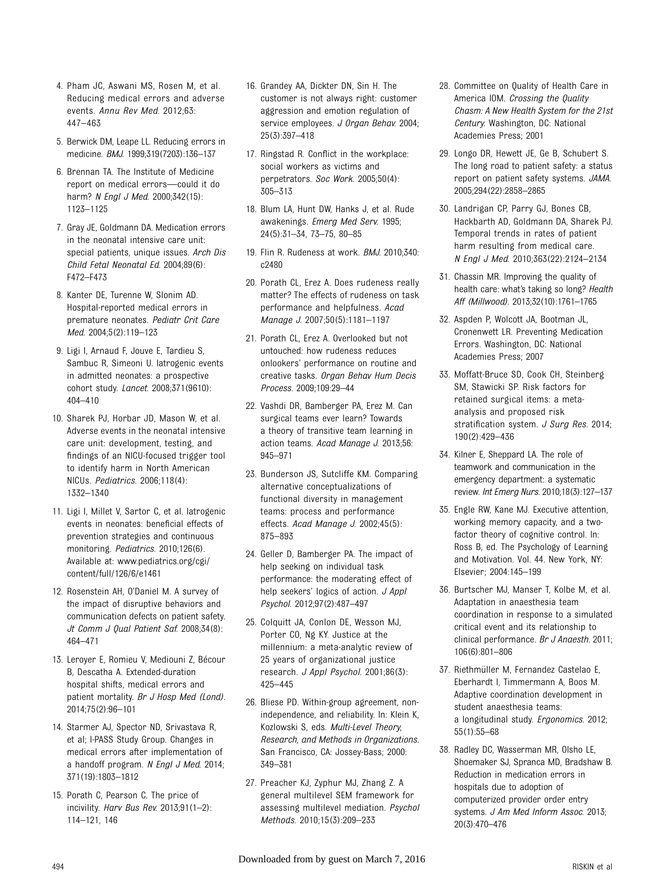- 4. Pham JC, Aswani MS, Rosen M, et al. Reducing medical errors and adverse events. Annu Rev Med. 2012;63: 447–463
- 5. Berwick DM, Leape LL. Reducing errors in medicine. BMJ. 1999;319(7203):136–137
- 6. Brennan TA. The Institute of Medicine report on medical errors—could it do harm? N Engl J Med. 2000;342(15): 1123–1125
- 7. Gray JE, Goldmann DA. Medication errors in the neonatal intensive care unit: special patients, unique issues. Arch Dis Child Fetal Neonatal Ed. 2004;89(6): F472–F473
- 8. Kanter DE, Turenne W, Slonim AD. Hospital-reported medical errors in premature neonates. Pediatr Crit Care Med. 2004;5(2):119–123
- 9. Ligi I, Arnaud F, Jouve E, Tardieu S, Sambuc R, Simeoni U. Iatrogenic events in admitted neonates: a prospective cohort study. Lancet. 2008;371(9610): 404–410
- 10. Sharek PJ, Horbar JD, Mason W, et al. Adverse events in the neonatal intensive care unit: development, testing, and findings of an NICU-focused trigger tool to identify harm in North American NICUs. Pediatrics. 2006;118(4): 1332–1340
- 11. Ligi I, Millet V, Sartor C, et al. Iatrogenic events in neonates: beneficial effects of prevention strategies and continuous monitoring. Pediatrics. 2010;126(6). Available at: [www.pediatrics.org/cgi/](http://www.pediatrics.org/cgi/content/full/126/6/e1461) [content/full/126/6/e1461](http://www.pediatrics.org/cgi/content/full/126/6/e1461)
- 12. Rosenstein AH, O'Daniel M. A survey of the impact of disruptive behaviors and communication defects on patient safety. Jt Comm J Qual Patient Saf. 2008;34(8): 464–471
- 13. Leroyer E, Romieu V, Mediouni Z, Bécour B, Descatha A. Extended-duration hospital shifts, medical errors and patient mortality. Br J Hosp Med (Lond). 2014;75(2):96–101
- 14. Starmer AJ, Spector ND, Srivastava R, et al; I-PASS Study Group. Changes in medical errors after implementation of a handoff program. N Engl J Med. 2014; 371(19):1803–1812
- 15. Porath C, Pearson C. The price of incivility. Harv Bus Rev. 2013;91(1-2): 114–121, 146
- 16. Grandey AA, Dickter DN, Sin H. The customer is not always right: customer aggression and emotion regulation of service employees. J Organ Behav. 2004; 25(3):397–418
- 17. Ringstad R. Conflict in the workplace: social workers as victims and perpetrators. Soc Work. 2005;50(4): 305–313
- 18. Blum LA, Hunt DW, Hanks J, et al. Rude awakenings. Emerg Med Serv. 1995; 24(5):31–34, 73–75, 80–85
- 19. Flin R. Rudeness at work. BMJ. 2010;340: c2480
- 20. Porath CL, Erez A. Does rudeness really matter? The effects of rudeness on task performance and helpfulness. Acad Manage J. 2007;50(5):1181–1197
- 21. Porath CL, Erez A. Overlooked but not untouched: how rudeness reduces onlookers' performance on routine and creative tasks. Organ Behav Hum Decis Process. 2009;109:29–44
- 22. Vashdi DR, Bamberger PA, Erez M. Can surgical teams ever learn? Towards a theory of transitive team learning in action teams. Acad Manage J. 2013;56: 945–971
- 23. Bunderson JS, Sutcliffe KM. Comparing alternative conceptualizations of functional diversity in management teams: process and performance effects. Acad Manage J. 2002;45(5): 875–893
- 24. Geller D, Bamberger PA. The impact of help seeking on individual task performance: the moderating effect of help seekers' logics of action. J Appl Psychol. 2012;97(2):487–497
- 25. Colquitt JA, Conlon DE, Wesson MJ, Porter CO, Ng KY. Justice at the millennium: a meta-analytic review of 25 years of organizational justice research. J Appl Psychol. 2001;86(3): 425–445
- 26. Bliese PD. Within-group agreement, nonindependence, and reliability. In: Klein K, Kozlowski S, eds. Multi-Level Theory, Research, and Methods in Organizations. San Francisco, CA: Jossey-Bass; 2000: 349–381
- 27. Preacher KJ, Zyphur MJ, Zhang Z. A general multilevel SEM framework for assessing multilevel mediation. Psychol Methods. 2010;15(3):209–233
- 28. Committee on Quality of Health Care in America IOM. Crossing the Quality Chasm: A New Health System for the 21st Century. Washington, DC: National Academies Press; 2001
- 29. Longo DR, Hewett JE, Ge B, Schubert S. The long road to patient safety: a status report on patient safety systems. JAMA. 2005;294(22):2858–2865
- 30. Landrigan CP, Parry GJ, Bones CB, Hackbarth AD, Goldmann DA, Sharek PJ. Temporal trends in rates of patient harm resulting from medical care. N Engl J Med. 2010;363(22):2124–2134
- 31. Chassin MR. Improving the quality of health care: what's taking so long? Health Aff (Millwood). 2013;32(10):1761–1765
- 32. Aspden P, Wolcott JA, Bootman JL, Cronenwett LR. Preventing Medication Errors. Washington, DC: National Academies Press; 2007
- 33. Moffatt-Bruce SD, Cook CH, Steinberg SM, Stawicki SP. Risk factors for retained surgical items: a metaanalysis and proposed risk stratification system. J Surg Res. 2014; 190(2):429–436
- 34. Kilner E, Sheppard LA. The role of teamwork and communication in the emergency department: a systematic review. Int Emerg Nurs. 2010;18(3):127–137
- 35. Engle RW, Kane MJ. Executive attention, working memory capacity, and a twofactor theory of cognitive control. In: Ross B, ed. The Psychology of Learning and Motivation. Vol. 44. New York, NY: Elsevier; 2004:145–199
- 36. Burtscher MJ, Manser T, Kolbe M, et al. Adaptation in anaesthesia team coordination in response to a simulated critical event and its relationship to clinical performance. Br J Anaesth. 2011; 106(6):801–806
- 37. Riethmüller M, Fernandez Castelao E, Eberhardt I, Timmermann A, Boos M. Adaptive coordination development in student anaesthesia teams: a longitudinal study. Ergonomics. 2012; 55(1):55–68
- 38. Radley DC, Wasserman MR, Olsho LE, Shoemaker SJ, Spranca MD, Bradshaw B. Reduction in medication errors in hospitals due to adoption of computerized provider order entry systems. J Am Med Inform Assoc. 2013; 20(3):470–476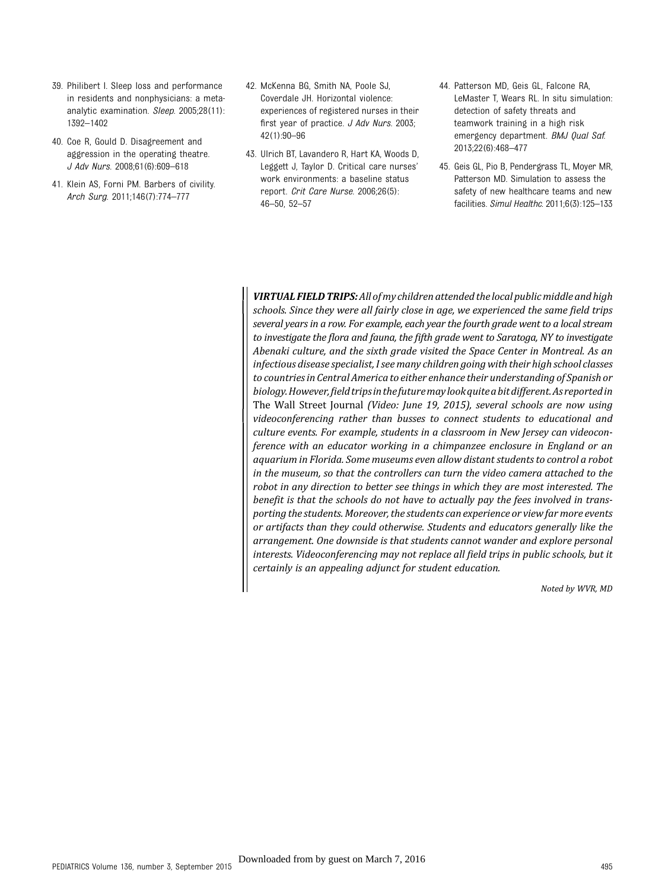- 39. Philibert I. Sleep loss and performance in residents and nonphysicians: a metaanalytic examination. Sleep. 2005;28(11): 1392–1402
- 40. Coe R, Gould D. Disagreement and aggression in the operating theatre. J Adv Nurs. 2008;61(6):609–618
- 41. Klein AS, Forni PM. Barbers of civility. Arch Surg. 2011;146(7):774–777
- 42. McKenna BG, Smith NA, Poole SJ, Coverdale JH. Horizontal violence: experiences of registered nurses in their first year of practice. J Adv Nurs. 2003; 42(1):90–96
- 43. Ulrich BT, Lavandero R, Hart KA, Woods D, Leggett J, Taylor D. Critical care nurses' work environments: a baseline status report. Crit Care Nurse. 2006;26(5): 46–50, 52–57
- 44. Patterson MD, Geis GL, Falcone RA, LeMaster T, Wears RL. In situ simulation: detection of safety threats and teamwork training in a high risk emergency department. BMJ Qual Saf. 2013;22(6):468–477
- 45. Geis GL, Pio B, Pendergrass TL, Moyer MR, Patterson MD. Simulation to assess the safety of new healthcare teams and new facilities. Simul Healthc. 2011;6(3):125–133

VIRTUAL FIELD TRIPS: All of my children attended the local public middle and high schools. Since they were all fairly close in age, we experienced the same field trips several years in a row. For example, each year the fourth grade went to a local stream to investigate the flora and fauna, the fifth grade went to Saratoga, NY to investigate Abenaki culture, and the sixth grade visited the Space Center in Montreal. As an infectious disease specialist, I see many children going with their high school classes to countries in Central America to either enhance their understanding of Spanish or biology.However,field tripsin thefuturemaylookquite a bit different.As reportedin The Wall Street Journal (Video: June 19, 2015), several schools are now using videoconferencing rather than busses to connect students to educational and culture events. For example, students in a classroom in New Jersey can videoconference with an educator working in a chimpanzee enclosure in England or an aquarium in Florida. Some museums even allow distant students to control a robot in the museum, so that the controllers can turn the video camera attached to the robot in any direction to better see things in which they are most interested. The benefit is that the schools do not have to actually pay the fees involved in transporting the students. Moreover, the students can experience or view far more events or artifacts than they could otherwise. Students and educators generally like the arrangement. One downside is that students cannot wander and explore personal interests. Videoconferencing may not replace all field trips in public schools, but it certainly is an appealing adjunct for student education.

Noted by WVR, MD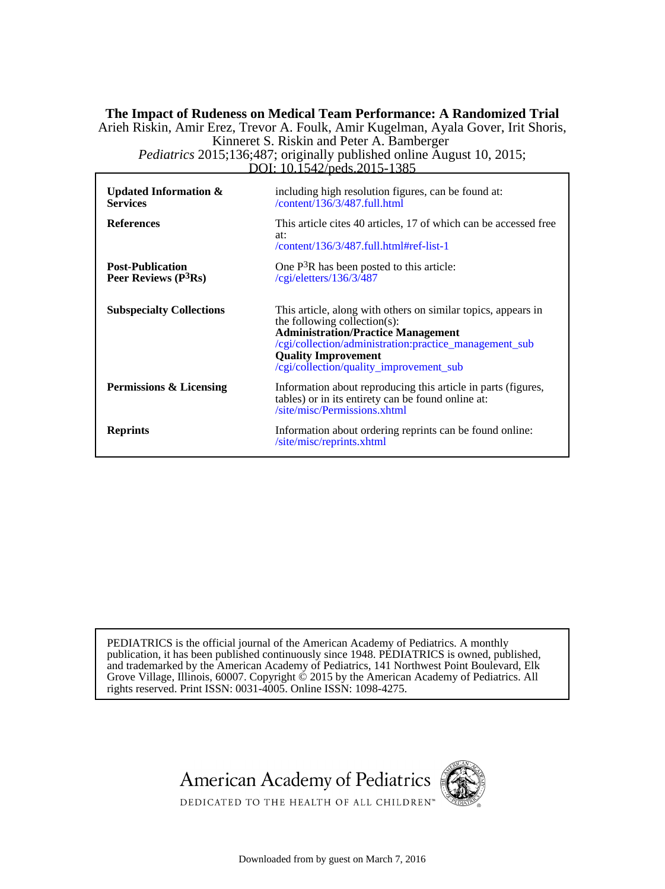# DOI: 10.1542/peds.2015-1385 *Pediatrics* 2015;136;487; originally published online August 10, 2015; Kinneret S. Riskin and Peter A. Bamberger Arieh Riskin, Amir Erez, Trevor A. Foulk, Amir Kugelman, Ayala Gover, Irit Shoris, **The Impact of Rudeness on Medical Team Performance: A Randomized Trial**

| <b>Updated Information &amp;</b><br><b>Services</b> | including high resolution figures, can be found at:<br>$\sqrt{\text{content}}/136/3/487$ .full.html                                                                                                                                                                           |
|-----------------------------------------------------|-------------------------------------------------------------------------------------------------------------------------------------------------------------------------------------------------------------------------------------------------------------------------------|
| <b>References</b>                                   | This article cites 40 articles, 17 of which can be accessed free<br>at:<br>$\frac{1}{36/3487}$ .full.html#ref-list-1                                                                                                                                                          |
| <b>Post-Publication</b><br>Peer Reviews $(P3Rs)$    | One $P3R$ has been posted to this article:<br>/cgi/eletters/136/3/487                                                                                                                                                                                                         |
| <b>Subspecialty Collections</b>                     | This article, along with others on similar topics, appears in<br>the following collection(s):<br><b>Administration/Practice Management</b><br>/cgi/collection/administration:practice_management_sub<br><b>Quality Improvement</b><br>/cgi/collection/quality_improvement_sub |
| <b>Permissions &amp; Licensing</b>                  | Information about reproducing this article in parts (figures,<br>tables) or in its entirety can be found online at:<br>/site/misc/Permissions.xhtml                                                                                                                           |
| <b>Reprints</b>                                     | Information about ordering reprints can be found online:<br>/site/misc/reprints.xhtml                                                                                                                                                                                         |

rights reserved. Print ISSN: 0031-4005. Online ISSN: 1098-4275. Grove Village, Illinois, 60007. Copyright  $\acute{\text{o}}$  2015 by the American Academy of Pediatrics. All and trademarked by the American Academy of Pediatrics, 141 Northwest Point Boulevard, Elk publication, it has been published continuously since 1948. PEDIATRICS is owned, published, PEDIATRICS is the official journal of the American Academy of Pediatrics. A monthly





DEDICATED TO THE HEALTH OF ALL CHILDREN<sup>™</sup>